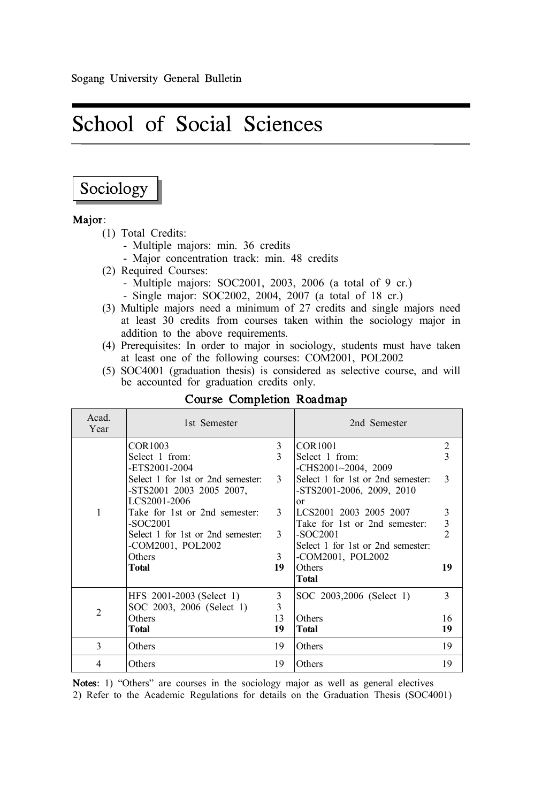# School of Social Sciences

# Sociology

# Major:

- 
- (1) Total Credits:
	- Major concentration track: min. 48 credits
- (2) Required Courses:
	- Multiple majors: SOC2001, 2003, 2006 (a total of 9 cr.)
	- Single major: SOC2002, 2004, 2007 (a total of 18 cr.)
- (3) Multiple majors need a minimum of 27 credits and single majors need at least 30 credits from courses taken within the sociology major in addition to the above requirements.
- (4) Prerequisites: In order to major in sociology, students must have taken at least one of the following courses: COM2001, POL2002
- (5) SOC4001 (graduation thesis) is considered as selective course, and will be accounted for graduation credits only.

| Acad.<br>Year  | 1st Semester                                                                  |                   | 2nd Semester                                                            |                |
|----------------|-------------------------------------------------------------------------------|-------------------|-------------------------------------------------------------------------|----------------|
| 1              | COR1003<br>Select 1 from:<br>-ETS2001-2004                                    | 3<br>$\mathbf{3}$ | <b>COR1001</b><br>Select 1 from:<br>$-CHS2001~2004$ , 2009              | 2<br>3         |
|                | Select 1 for 1st or 2nd semester:<br>-STS2001 2003 2005 2007.<br>LCS2001-2006 | 3                 | Select 1 for 1st or 2nd semester:<br>$-STS2001-2006$ , 2009, 2010<br>or | 3              |
|                | Take for 1st or 2nd semester:                                                 | 3                 | LCS2001 2003 2005 2007                                                  | 3              |
|                | $-SOC2001$                                                                    |                   | Take for 1st or 2nd semester:                                           | 3              |
|                | Select 1 for 1st or 2nd semester:                                             | 3                 | $-SOC2001$                                                              | $\mathfrak{D}$ |
|                | -COM2001, POL2002                                                             |                   | Select 1 for 1st or 2nd semester:                                       |                |
|                | Others                                                                        | 3                 | -COM2001, POL2002                                                       |                |
|                | Total                                                                         | 19                | Others                                                                  | 19             |
|                |                                                                               |                   | <b>Total</b>                                                            |                |
| $\overline{2}$ | HFS 2001-2003 (Select 1)                                                      | 3                 | SOC 2003,2006 (Select 1)                                                | 3              |
|                | SOC 2003, 2006 (Select 1)                                                     | 3                 |                                                                         |                |
|                | Others                                                                        | 13                | Others                                                                  | 16             |
|                | Total                                                                         | 19                | <b>Total</b>                                                            | 19             |
| 3              | Others                                                                        | 19                | Others                                                                  | 19             |
| 4              | Others                                                                        | 19                | Others                                                                  | 19             |

# Course Completion Roadmap

Notes: 1) "Others" are courses in the sociology major as well as general electives

2) Refer to the Academic Regulations for details on the Graduation Thesis (SOC4001)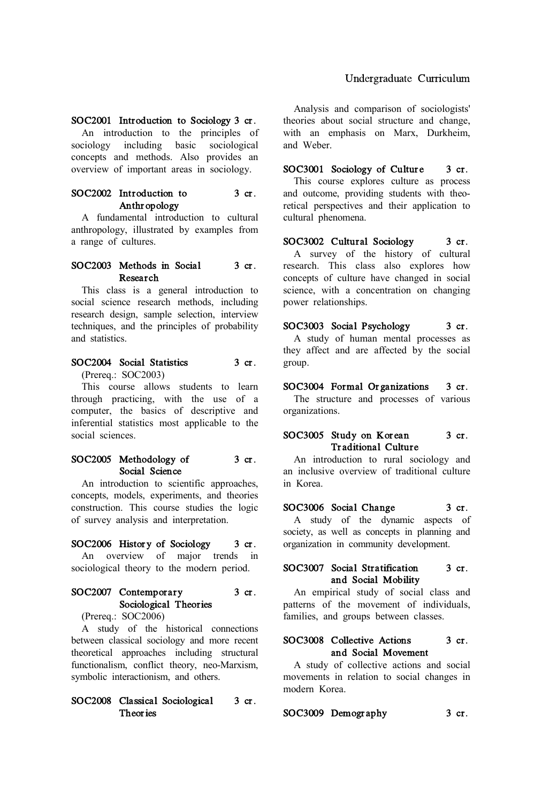#### Undergraduate Curriculum

SOC2001 Introduction to Sociology 3 cr.

An introduction to the principles of sociology including basic sociological<br>concepts and methods. Also provides an overview of important areas in sociology.

# SOC2002 Introduction to 3 cr. Anthropology

A fundamental introduction to cultural anthropology, illustrated by examples from a range of cultures.

#### SOC2003 Methods in Social 3 cr. Research

This class is a general introduction to social science research methods, including research design, sample selection, interview techniques, and the principles of probability and statistics.

# SOC2004 Social Statistics 3 cr.

(Prereq.: SOC2003)

This course allows students to learn through practicing, with the use of a computer, the basics of descriptive and inferential statistics most applicable to the social sciences.

# SOC2005 Methodology of 3 cr. Social Science

An introduction to scientific approaches, concepts, models, experiments, and theories construction. This course studies the logic of survey analysis and interpretation.

#### SOC2006 History of Sociology 3 cr.

An overview of major trends in sociological theory to the modern period.

# SOC2007 Contemporary 3 cr. Sociological Theories

(Prereq.: SOC2006)

A study of the historical connections between classical sociology and more recent theoretical approaches including structural functionalism, conflict theory, neo-Marxism, symbolic interactionism, and others.

# SOC2008 Classical Sociological 3 cr. Theories

Analysis and comparison of sociologists' theories about social structure and change, with an emphasis on Marx, Durkheim, and Weber.

SOC3001 Sociology of Culture 3 cr. This course explores culture as process and outcome, providing students with theoretical perspectives and their application to cultural phenomena.

SOC3002 Cultural Sociology 3 cr. A survey of the history of cultural research. This class also explores how concepts of culture have changed in social science, with a concentration on changing power relationships.

SOC3003 Social Psychology 3 cr. A study of human mental processes as they affect and are affected by the social group.

#### SOC3004 Formal Organizations 3 cr.

The structure and processes of various organizations.

#### SOC3005 Study on Korean 3 cr. Traditional Culture

An introduction to rural sociology and an inclusive overview of traditional culture in Korea.

#### SOC3006 Social Change 3 cr.

A study of the dynamic aspects of society, as well as concepts in planning and organization in community development.

#### SOC3007 Social Stratification 3 cr. and Social Mobility

An empirical study of social class and patterns of the movement of individuals, families, and groups between classes.

#### SOC3008 Collective Actions 3 cr. and Social Movement

A study of collective actions and social movements in relation to social changes in modern Korea.

SOC3009 Demography 3 cr.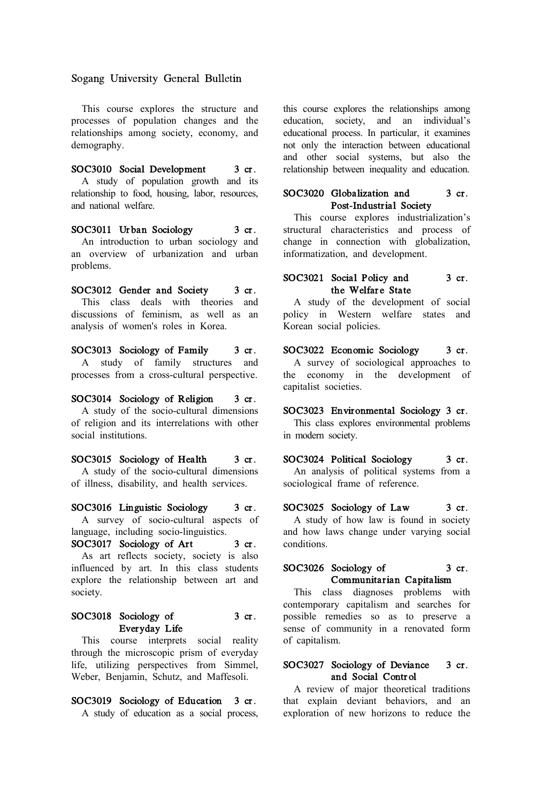Sogang University General Bulletin

This course explores the structure and processes of population changes and the relationships among society, economy, and demography.

SOC3010 Social Development 3 cr. A study of population growth and its relationship to food, housing, labor, resources, and national welfare.

SOC3011 Urban Sociology 3 cr. An introduction to urban sociology and an overview of urbanization and urban problems.

SOC3012 Gender and Society 3 cr. This class deals with theories and discussions of feminism, as well as an analysis of women's roles in Korea.

SOC3013 Sociology of Family 3 cr. A study of family structures and processes from a cross-cultural perspective.

SOC3014 Sociology of Religion 3 cr. A study of the socio-cultural dimensions of religion and its interrelations with other social institutions.

SOC3015 Sociology of Health 3 cr. A study of the socio-cultural dimensions of illness, disability, and health services.

SOC3016 Linguistic Sociology 3 cr. A survey of socio-cultural aspects of language, including socio-linguistics.

SOC3017 Sociology of Art 3 cr. As art reflects society, society is also influenced by art. In this class students explore the relationship between art and society.

#### SOC3018 Sociology of 3 cr. Everyday Life

This course interprets social reality through the microscopic prism of everyday life, utilizing perspectives from Simmel, Weber, Benjamin, Schutz, and Maffesoli.

# SOC3019 Sociology of Education 3 cr.

A study of education as a social process,

this course explores the relationships among education, society, and an individual's educational process. In particular, it examines not only the interaction between educational and other social systems, but also the relationship between inequality and education.

#### SOC3020 Globalization and 3 cr. Post-Industrial Society

This course explores industrialization's structural characteristics and process of change in connection with globalization, informatization, and development.

#### SOC3021 Social Policy and 3 cr. the Welfare State

A study of the development of social policy in Western welfare states and Korean social policies.

SOC3022 Economic Sociology 3 cr. A survey of sociological approaches to the economy in the development of capitalist societies.

SOC3023 Environmental Sociology 3 cr.

This class explores environmental problems in modern society.

SOC3024 Political Sociology 3 cr. An analysis of political systems from a sociological frame of reference.

SOC3025 Sociology of Law 3 cr. A study of how law is found in society

and how laws change under varying social conditions.

#### SOC3026 Sociology of 3 cr. Communitarian Capitalism

This class diagnoses problems with contemporary capitalism and searches for possible remedies so as to preserve a sense of community in a renovated form of capitalism.

#### SOC3027 Sociology of Deviance 3 cr. and Social Control

A review of major theoretical traditions that explain deviant behaviors, and an exploration of new horizons to reduce the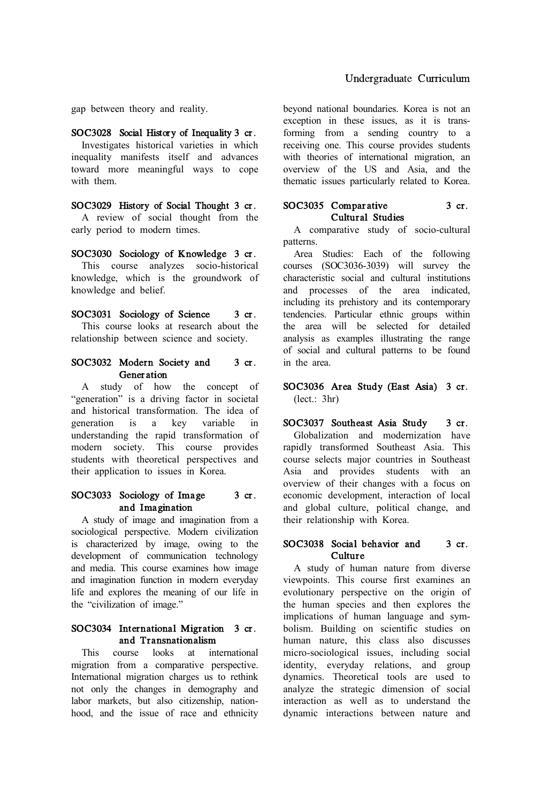gap between theory and reality.

SOC3028 Social History of Inequality 3 cr. Investigates historical varieties in which inequality manifests itself and advances toward more meaningful ways to cope with them.

SOC3029 History of Social Thought 3 cr. A review of social thought from the early period to modern times.

SOC3030 Sociology of Knowledge 3 cr. This course analyzes socio-historical knowledge, which is the groundwork of knowledge and belief.

SOC3031 Sociology of Science 3 cr. This course looks at research about the relationship between science and society.

#### SOC3032 Modern Society and 3 cr. **Generation**

A study of how the concept of "generation" is a driving factor in societal and historical transformation. The idea of<br>generation is a key variable in generation is a key variable in understanding the rapid transformation of modern society. This course provides students with theoretical perspectives and their application to issues in Korea.

#### SOC3033 Sociology of Image 3 cr. and Imagination

A study of image and imagination from a sociological perspective. Modern civilization is characterized by image, owing to the development of communication technology and media. This course examines how image and imagination function in modern everyday life and explores the meaning of our life in the "civilization of image."

#### SOC3034 International Migration 3 cr. and Transnationalism

This course looks at international migration from a comparative perspective. International migration charges us to rethink not only the changes in demography and labor markets, but also citizenship, nationhood, and the issue of race and ethnicity beyond national boundaries. Korea is not an exception in these issues, as it is transforming from a sending country to a receiving one. This course provides students with theories of international migration, and overview of the US and Asia, and the thematic issues particularly related to Korea.

# SOC3035 Comparative 3 cr. Cultural Studies

A comparative study of socio-cultural patterns.

Area Studies: Each of the following courses (SOC3036-3039) will survey the characteristic social and cultural institutions and processes of the area indicated, including its prehistory and its contemporary tendencies. Particular ethnic groups within the area will be selected for detailed analysis as examples illustrating the range of social and cultural patterns to be found in the area.

#### SOC3036 Area Study (East Asia) 3 cr. (lect.: 3hr)

SOC3037 Southeast Asia Study 3 cr. Globalization and modernization have rapidly transformed Southeast Asia. This course selects major countries in Southeast overview of their changes with a focus on economic development, interaction of local and global culture, political change, and their relationship with Korea.

#### SOC3038 Social behavior and 3 cr. Culture

A study of human nature from diverse viewpoints. This course first examines an evolutionary perspective on the origin of the human species and then explores the implications of human language and symbolism. Building on scientific studies on human nature, this class also discusses micro-sociological issues, including social identity, everyday relations, and group dynamics. Theoretical tools are used to analyze the strategic dimension of social interaction as well as to understand the dynamic interactions between nature and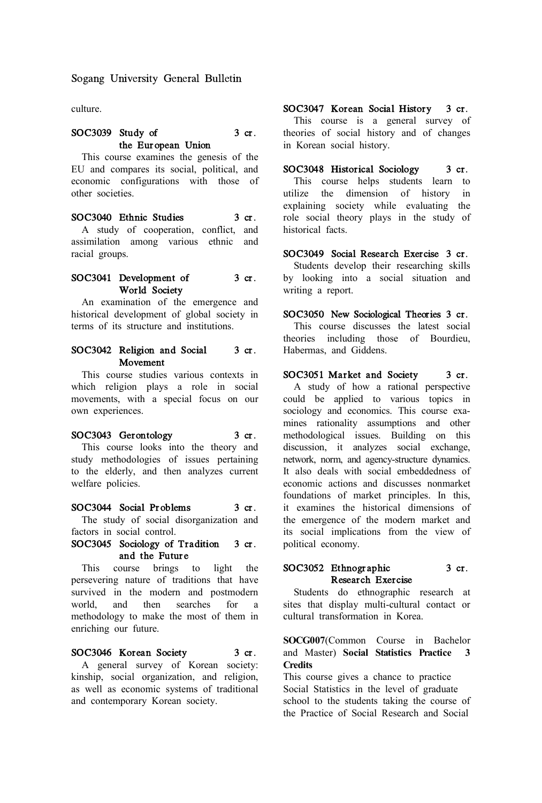Sogang University General Bulletin

culture.

#### SOC3039 Study of 3 cr. the European Union

This course examines the genesis of the EU and compares its social, political, and economic configurations with those of other societies.

#### SOC3040 Ethnic Studies 3 cr.

A study of cooperation, conflict, and assimilation among various ethnic and racial groups.

#### SOC3041 Development of 3 cr. World Society

An examination of the emergence and historical development of global society in terms of its structure and institutions.

#### SOC3042 Religion and Social 3 cr. Movement

This course studies various contexts in which religion plays a role in social movements, with a special focus on our own experiences.

#### SOC3043 Gerontology 3 cr.

This course looks into the theory and study methodologies of issues pertaining to the elderly, and then analyzes current welfare policies.

#### SOC3044 Social Problems 3 cr.

The study of social disorganization and factors in social control.

#### SOC3045 Sociology of Tradition 3 cr. and the Future

This course brings to light the persevering nature of traditions that have survived in the modern and postmodern<br>world and then searches for a world, and then searches for a methodology to make the most of them in enriching our future.

#### SOC3046 Korean Society 3 cr.

A general survey of Korean society: kinship, social organization, and religion, as well as economic systems of traditional and contemporary Korean society.

SOC3047 Korean Social History 3 cr. This course is a general survey of theories of social history and of changes in Korean social history.

SOC3048 Historical Sociology 3 cr. This course helps students learn to utilize the dimension of history in explaining society while evaluating the role social theory plays in the study of historical facts.

SOC3049 Social Research Exercise 3 cr. Students develop their researching skills by looking into a social situation and writing a report.

SOC3050 New Sociological Theories 3 cr. This course discusses the latest social theories including those of Bourdieu, Habermas, and Giddens.

SOC3051 Market and Society 3 cr. A study of how a rational perspective could be applied to various topics in sociology and economics. This course examines rationality assumptions and other methodological issues. Building on this discussion, it analyzes social exchange, network, norm, and agency-structure dynamics. It also deals with social embeddedness of economic actions and discusses nonmarket foundations of market principles. In this, it examines the historical dimensions of the emergence of the modern market and its social implications from the view of political economy.

# SOC3052 Ethnographic 3 cr. Research Exercise

Students do ethnographic research at sites that display multi-cultural contact or cultural transformation in Korea.

#### **SOCG007**(Common Course in Bachelor and Master) **Social Statistics Practice 3 Credits**

This course gives a chance to practice Social Statistics in the level of graduate school to the students taking the course of the Practice of Social Research and Social